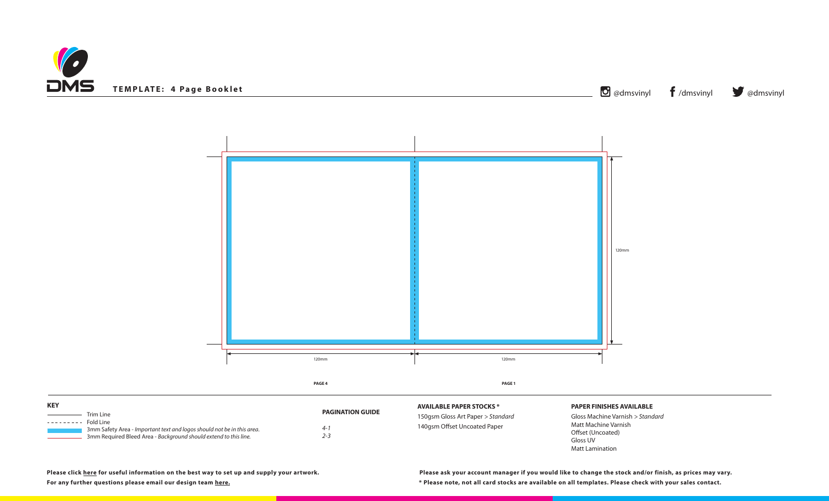



150gsm Gloss Art Paper *> Standard* aper

## **PAPER FINISHES AVAILABLE**

Gloss Machine Varnish *> Standard* Matt Machine Varnish Offset (Uncoated) Gloss UV Matt Lamination

**Please click [here](https://www.discmanufacturingservices.com/cd/templates#artwork-specifications) for useful information on the best way to set up and supply your artwork.**

| <b>KEY</b> |                                                                        |                         | <b>AVAILABLE PAPER STOCKS *</b> |
|------------|------------------------------------------------------------------------|-------------------------|---------------------------------|
| ---------  | Trim Line<br>Fold Line                                                 | <b>PAGINATION GUIDE</b> | 150gsm Gloss Art Paper > Star   |
|            | 3mm Safety Area - Important text and logos should not be in this area. | $4 - 7$                 | 140gsm Offset Uncoated Pape     |
|            | 3mm Required Bleed Area - Background should extend to this line.       | 2-3                     |                                 |

**For any further questions please email our design team [here](mailto:graphics%40discmanufacturingservices.com?subject=Template%20Enquiry). \* Please note, not all card stocks are available on all templates. Please check with your sales contact. Please ask your account manager if you would like to change the stock and/or finish, as prices may vary.**